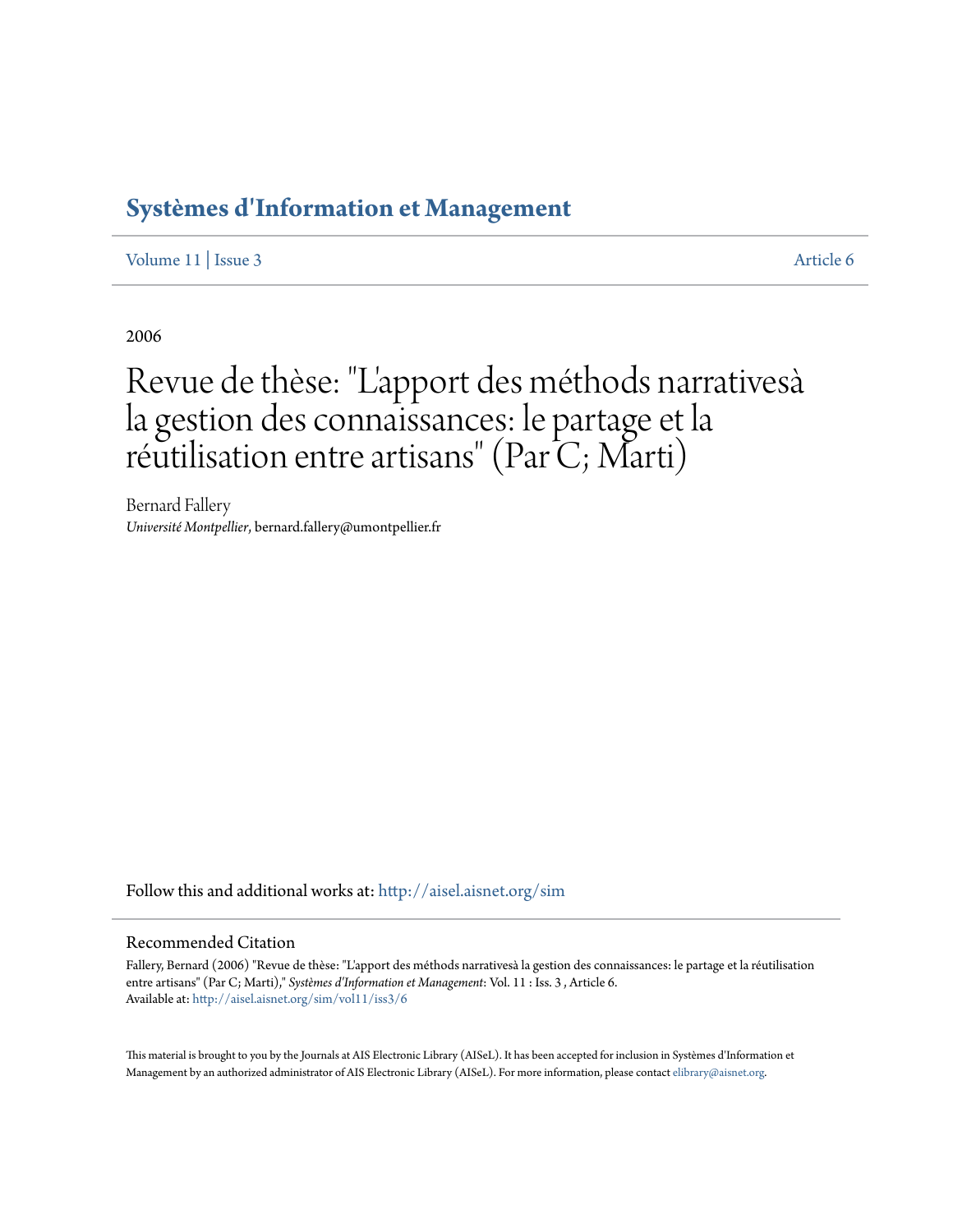## **[Systèmes d'Information et Management](http://aisel.aisnet.org/sim?utm_source=aisel.aisnet.org%2Fsim%2Fvol11%2Fiss3%2F6&utm_medium=PDF&utm_campaign=PDFCoverPages)**

[Volume 11](http://aisel.aisnet.org/sim/vol11?utm_source=aisel.aisnet.org%2Fsim%2Fvol11%2Fiss3%2F6&utm_medium=PDF&utm_campaign=PDFCoverPages) | [Issue 3](http://aisel.aisnet.org/sim/vol11/iss3?utm_source=aisel.aisnet.org%2Fsim%2Fvol11%2Fiss3%2F6&utm_medium=PDF&utm_campaign=PDFCoverPages) [Article 6](http://aisel.aisnet.org/sim/vol11/iss3/6?utm_source=aisel.aisnet.org%2Fsim%2Fvol11%2Fiss3%2F6&utm_medium=PDF&utm_campaign=PDFCoverPages)

2006

# Revue de thèse: "L' apport des méthods narrativesà la gestion des connaissances: le partage et la réutilisation entre artisans" (Par C; Marti)

Bernard Fallery *Université Montpellier*, bernard.fallery@umontpellier.fr

Follow this and additional works at: [http://aisel.aisnet.org/sim](http://aisel.aisnet.org/sim?utm_source=aisel.aisnet.org%2Fsim%2Fvol11%2Fiss3%2F6&utm_medium=PDF&utm_campaign=PDFCoverPages)

#### Recommended Citation

Fallery, Bernard (2006) "Revue de thèse: "L'apport des méthods narrativesà la gestion des connaissances: le partage et la réutilisation entre artisans" (Par C; Marti)," *Systèmes d'Information et Management*: Vol. 11 : Iss. 3 , Article 6. Available at: [http://aisel.aisnet.org/sim/vol11/iss3/6](http://aisel.aisnet.org/sim/vol11/iss3/6?utm_source=aisel.aisnet.org%2Fsim%2Fvol11%2Fiss3%2F6&utm_medium=PDF&utm_campaign=PDFCoverPages)

This material is brought to you by the Journals at AIS Electronic Library (AISeL). It has been accepted for inclusion in Systèmes d'Information et Management by an authorized administrator of AIS Electronic Library (AISeL). For more information, please contact [elibrary@aisnet.org](mailto:elibrary@aisnet.org%3E).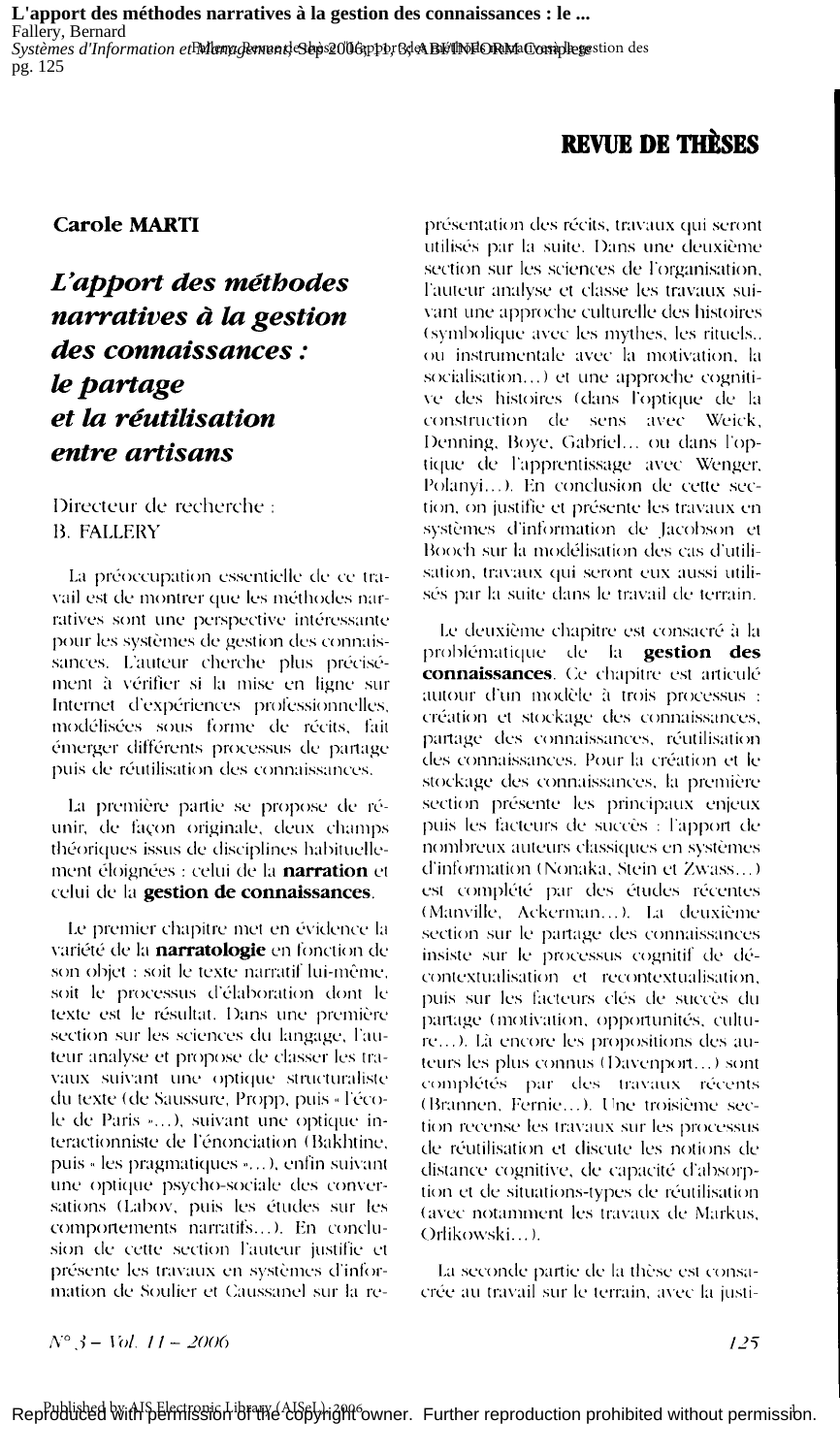L'apport des méthodes narratives à la gestion des connaissances : le ... Fallery, Bernard Systèmes d'Information etFMenugenundeSepe2006ppbr6de&BETMEORMaComplegestion des pg. 125

## **REVUE DE THÈSES**

#### **Carole MARTI**

## L'apport des méthodes narratives à la gestion des connaissances : le partage et la réutilisation entre artisans

Directeur de recherche : **B. FALLERY** 

La préoccupation essentielle de ce travail est de montrer que les méthodes narratives sont une perspective intéressante pour les systèmes de gestion des connaissances. L'auteur cherche plus précisément à vérifier si la mise en ligne sur Internet d'expériences professionnelles, modélisées sous forme de récits, fait émerger différents processus de partage puis de réutilisation des connaissances.

La première partie se propose de réunir, de façon originale, deux champs théoriques issus de disciplines habituellement éloignées : celui de la narration et celui de la gestion de connaissances.

Le premier chapitre met en évidence la variété de la narratologie en fonction de son objet : soit le texte narratif lui-même, soit le processus d'élaboration dont le texte est le résultat. Dans une première section sur les sciences du langage, l'auteur analyse et propose de classer les travaux suivant une optique structuraliste du texte (de Saussure, Propp, puis « l'école de Paris »...), suivant une optique interactionniste de l'énonciation (Bakhtine, puis « les pragmatiques »...), enfin suivant une optique psycho-sociale des conversations (Labov, puis les études sur les comportements narratifs...). En conclusion de cette section l'auteur justifie et présente les travaux en systèmes d'information de Soulier et Caussanel sur la re-

présentation des récits, travaux qui seront utilisés par la suite. Dans une deuxième section sur les sciences de l'organisation, l'auteur analyse et classe les travaux suivant une approche culturelle des histoires (symbolique avec les mythes, les rituels... ou instrumentale avec la motivation, la socialisation...) et une approche cognitive des histoires (dans l'optique de la construction de sens avec Weick, Denning, Boye, Gabriel... ou dans l'optique de l'apprentissage avec Wenger, Polanyi...). En conclusion de cette section, on justifie et présente les travaux en systèmes d'information de Jacobson et Booch sur la modélisation des cas d'utilisation, travaux qui seront eux aussi utilisés par la suite dans le travail de terrain.

Le deuxième chapitre est consacré à la problématique de la gestion des connaissances. Ce chapitre est articulé autour d'un modèle à trois processus : création et stockage des connaissances, partage des connaissances, réutilisation des connaissances. Pour la création et le stockage des connaissances, la première section présente les principaux enjeux puis les facteurs de succès : l'apport de nombreux auteurs classiques en systèmes d'information (Nonaka, Stein et Zwass...) est complété par des études récentes (Manville, Ackerman...). La deuxième section sur le partage des connaissances insiste sur le processus cognitif de décontextualisation et recontextualisation, puis sur les facteurs clés de succès du partage (motivation, opportunités, culture...). Là encore les propositions des auteurs les plus connus (Davenport...) sont complétés par des travaux récents (Brannen, Fernie...). Une troisième section recense les travaux sur les processus de réutilisation et discute les notions de distance cognitive, de capacité d'absorption et de situations-types de réutilisation (avec notamment les travaux de Markus, Orlikowski...).

La seconde partie de la thèse est consacrée au travail sur le terrain, avec la justi-

$$
N^{\circ} \beta - Vol. \ 11 - 2006
$$

 $125$